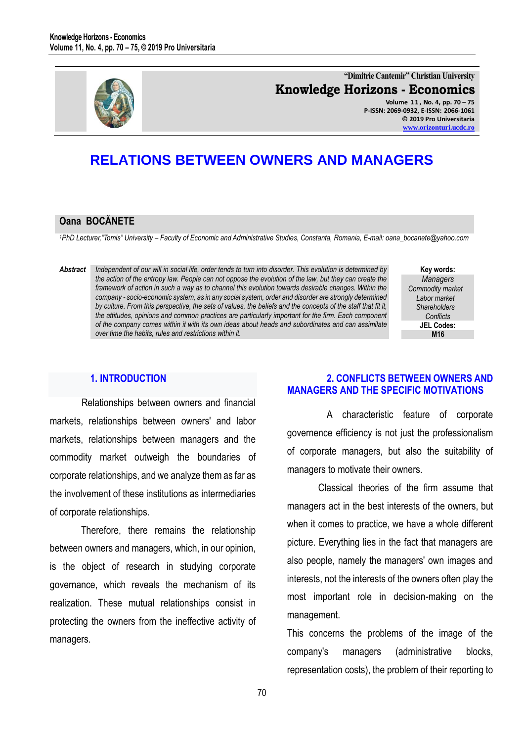

**"Dimitrie Cantemir" Christian University Knowledge Horizons - Economics**

**Volume 1 1 , No. 4, pp. 70 – 75 P-ISSN: 2069-0932, E-ISSN: 2066-1061 © 2019 Pro Universitaria [www.orizonturi.ucdc.ro](http://www.orizonturi.ucdc.ro/)**

# **RELATIONS BETWEEN OWNERS AND MANAGERS**

#### **Oana BOCĂNETE**

*<sup>1</sup>PhD Lecturer,"Tomis" University – Faculty of Economic and Administrative Studies, Constanta, Romania, E-mail: oana\_bocanete@yahoo.com* 

*Abstract Independent of our will in social life, order tends to turn into disorder. This evolution is determined by the action of the entropy law. People can not oppose the evolution of the law, but they can create the framework of action in such a way as to channel this evolution towards desirable changes. Within the company - socio-economic system, as in any social system, order and disorder are strongly determined by culture. From this perspective, the sets of values, the beliefs and the concepts of the staff that fit it, the attitudes, opinions and common practices are particularly important for the firm. Each component of the company comes within it with its own ideas about heads and subordinates and can assimilate over time the habits, rules and restrictions within it.* 

**Key words:** *Managers Commodity market Labor market Shareholders Conflicts* **JEL Codes: M16**

#### **1. INTRODUCTION**

Relationships between owners and financial markets, relationships between owners' and labor markets, relationships between managers and the commodity market outweigh the boundaries of corporate relationships, and we analyze them as far as the involvement of these institutions as intermediaries of corporate relationships.

Therefore, there remains the relationship between owners and managers, which, in our opinion, is the object of research in studying corporate governance, which reveals the mechanism of its realization. These mutual relationships consist in protecting the owners from the ineffective activity of managers.

#### **2. CONFLICTS BETWEEN OWNERS AND MANAGERS AND THE SPECIFIC MOTIVATIONS**

A characteristic feature of corporate governence efficiency is not just the professionalism of corporate managers, but also the suitability of managers to motivate their owners.

Classical theories of the firm assume that managers act in the best interests of the owners, but when it comes to practice, we have a whole different picture. Everything lies in the fact that managers are also people, namely the managers' own images and interests, not the interests of the owners often play the most important role in decision-making on the management.

This concerns the problems of the image of the company's managers (administrative blocks, representation costs), the problem of their reporting to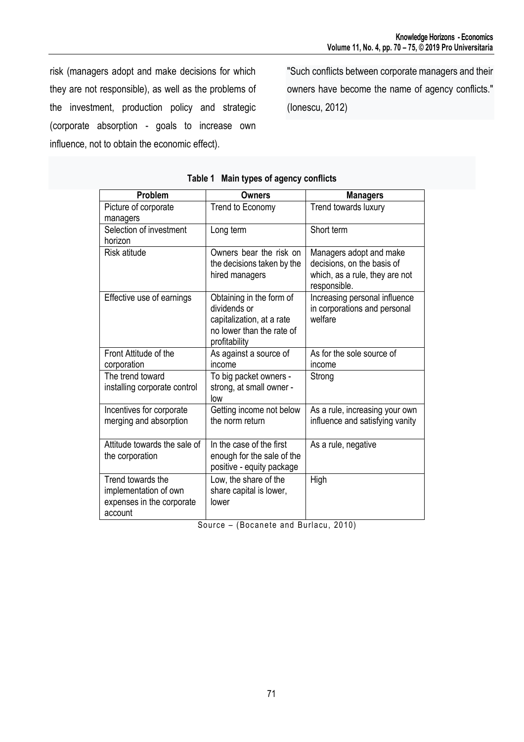risk (managers adopt and make decisions for which they are not responsible), as well as the problems of the investment, production policy and strategic (corporate absorption - goals to increase own influence, not to obtain the economic effect).

"Such conflicts between corporate managers and their owners have become the name of agency conflicts." (Ionescu, 2012)

| Problem                                                                            | <b>Owners</b>                                                                                                       | <b>Managers</b>                                                                                         |
|------------------------------------------------------------------------------------|---------------------------------------------------------------------------------------------------------------------|---------------------------------------------------------------------------------------------------------|
| Picture of corporate<br>managers                                                   | Trend to Economy                                                                                                    | Trend towards luxury                                                                                    |
| Selection of investment<br>horizon                                                 | Long term                                                                                                           | Short term                                                                                              |
| Risk atitude                                                                       | Owners bear the risk on<br>the decisions taken by the<br>hired managers                                             | Managers adopt and make<br>decisions, on the basis of<br>which, as a rule, they are not<br>responsible. |
| Effective use of earnings                                                          | Obtaining in the form of<br>dividends or<br>capitalization, at a rate<br>no lower than the rate of<br>profitability | Increasing personal influence<br>in corporations and personal<br>welfare                                |
| Front Attitude of the<br>corporation                                               | As against a source of<br>income                                                                                    | As for the sole source of<br>income                                                                     |
| The trend toward<br>installing corporate control                                   | To big packet owners -<br>strong, at small owner -<br>low                                                           | Strong                                                                                                  |
| Incentives for corporate<br>merging and absorption                                 | Getting income not below<br>the norm return                                                                         | As a rule, increasing your own<br>influence and satisfying vanity                                       |
| Attitude towards the sale of<br>the corporation                                    | In the case of the first<br>enough for the sale of the<br>positive - equity package                                 | As a rule, negative                                                                                     |
| Trend towards the<br>implementation of own<br>expenses in the corporate<br>account | Low, the share of the<br>share capital is lower,<br>lower                                                           | High                                                                                                    |

#### **Table 1 Main types of agency conflicts**

Source – (Bocanete and Burlacu, 2010)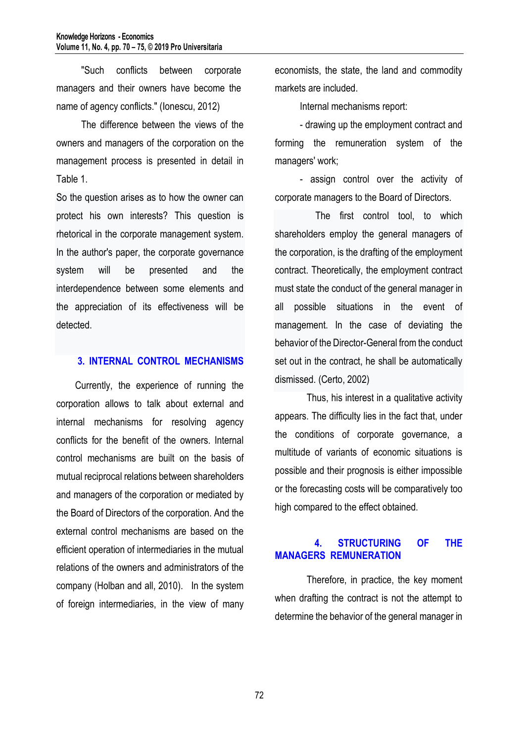"Such conflicts between corporate managers and their owners have become the name of agency conflicts." (Ionescu, 2012)

The difference between the views of the owners and managers of the corporation on the management process is presented in detail in Table 1.

So the question arises as to how the owner can protect his own interests? This question is rhetorical in the corporate management system. In the author's paper, the corporate governance system will be presented and the interdependence between some elements and the appreciation of its effectiveness will be detected.

## **3. INTERNAL CONTROL MECHANISMS**

Currently, the experience of running the corporation allows to talk about external and internal mechanisms for resolving agency conflicts for the benefit of the owners. Internal control mechanisms are built on the basis of mutual reciprocal relations between shareholders and managers of the corporation or mediated by the Board of Directors of the corporation. And the external control mechanisms are based on the efficient operation of intermediaries in the mutual relations of the owners and administrators of the company (Holban and all, 2010). In the system of foreign intermediaries, in the view of many economists, the state, the land and commodity markets are included.

Internal mechanisms report:

- drawing up the employment contract and forming the remuneration system of the managers' work;

- assign control over the activity of corporate managers to the Board of Directors.

The first control tool, to which shareholders employ the general managers of the corporation, is the drafting of the employment contract. Theoretically, the employment contract must state the conduct of the general manager in all possible situations in the event of management. In the case of deviating the behavior of the Director-General from the conduct set out in the contract, he shall be automatically dismissed. (Certo, 2002)

Thus, his interest in a qualitative activity appears. The difficulty lies in the fact that, under the conditions of corporate governance, a multitude of variants of economic situations is possible and their prognosis is either impossible or the forecasting costs will be comparatively too high compared to the effect obtained.

# **4. STRUCTURING OF THE MANAGERS REMUNERATION**

Therefore, in practice, the key moment when drafting the contract is not the attempt to determine the behavior of the general manager in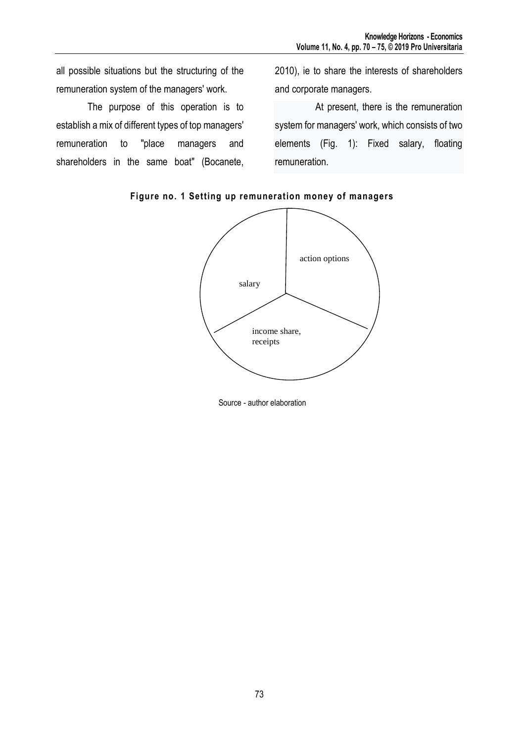all possible situations but the structuring of the remuneration system of the managers' work.

The purpose of this operation is to establish a mix of different types of top managers' remuneration to "place managers and shareholders in the same boat" (Bocanete,

2010), ie to share the interests of shareholders and corporate managers.

At present, there is the remuneration system for managers' work, which consists of two elements (Fig. 1): Fixed salary, floating remuneration.





Source - author elaboration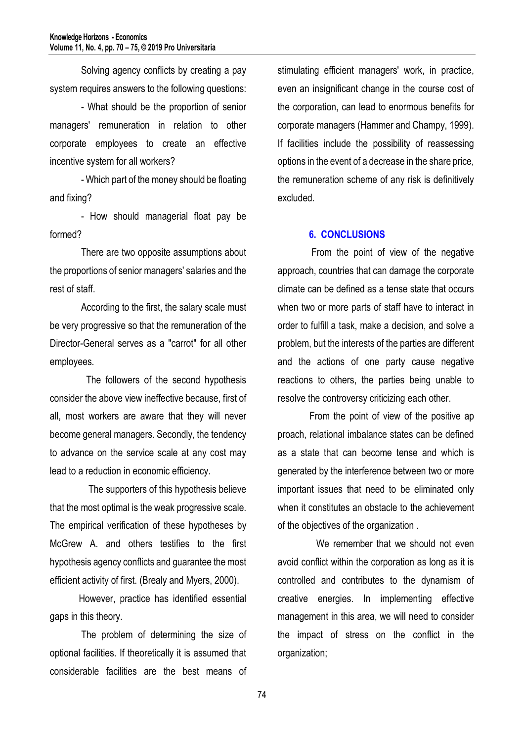Solving agency conflicts by creating a pay system requires answers to the following questions:

- What should be the proportion of senior managers' remuneration in relation to other corporate employees to create an effective incentive system for all workers?

- Which part of the money should be floating and fixing?

- How should managerial float pay be formed?

There are two opposite assumptions about the proportions of senior managers' salaries and the rest of staff.

According to the first, the salary scale must be very progressive so that the remuneration of the Director-General serves as a "carrot" for all other employees.

 The followers of the second hypothesis consider the above view ineffective because, first of all, most workers are aware that they will never become general managers. Secondly, the tendency to advance on the service scale at any cost may lead to a reduction in economic efficiency.

 The supporters of this hypothesis believe that the most optimal is the weak progressive scale. The empirical verification of these hypotheses by McGrew A. and others testifies to the first hypothesis agency conflicts and guarantee the most efficient activity of first. (Brealy and Myers, 2000).

 However, practice has identified essential gaps in this theory.

 The problem of determining the size of optional facilities. If theoretically it is assumed that considerable facilities are the best means of stimulating efficient managers' work, in practice, even an insignificant change in the course cost of the corporation, can lead to enormous benefits for corporate managers (Hammer and Champy, 1999). If facilities include the possibility of reassessing options in the event of a decrease in the share price, the remuneration scheme of any risk is definitively excluded.

## **6. CONCLUSIONS**

 From the point of view of the negative approach, countries that can damage the corporate climate can be defined as a tense state that occurs when two or more parts of staff have to interact in order to fulfill a task, make a decision, and solve a problem, but the interests of the parties are different and the actions of one party cause negative reactions to others, the parties being unable to resolve the controversy criticizing each other.

 From the point of view of the positive ap proach, relational imbalance states can be defined as a state that can become tense and which is generated by the interference between two or more important issues that need to be eliminated only when it constitutes an obstacle to the achievement of the objectives of the organization .

 We remember that we should not even avoid conflict within the corporation as long as it is controlled and contributes to the dynamism of creative energies. In implementing effective management in this area, we will need to consider the impact of stress on the conflict in the organization;